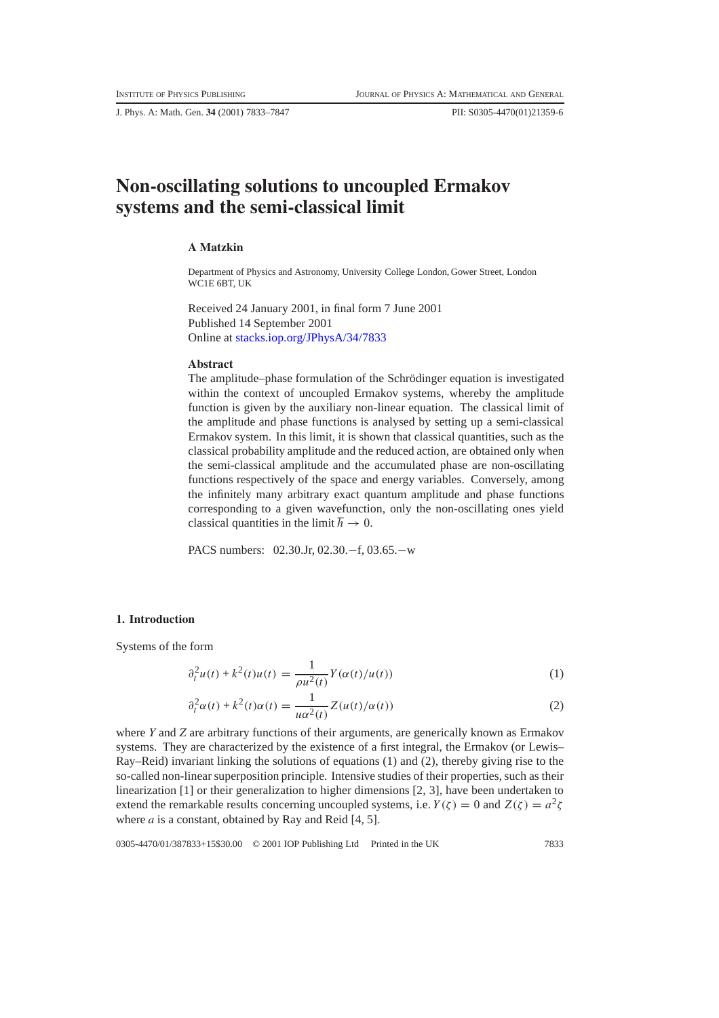J. Phys. A: Math. Gen. **34** (2001) 7833–7847 PII: S0305-4470(01)21359-6

# **Non-oscillating solutions to uncoupled Ermakov systems and the semi-classical limit**

# **A Matzkin**

Department of Physics and Astronomy, University College London, Gower Street, London WC1E 6BT, UK

Received 24 January 2001, in final form 7 June 2001 Published 14 September 2001 Online at [stacks.iop.org/JPhysA/34/7833](http://stacks.iop.org/ja/34/7833)

# **Abstract**

The amplitude–phase formulation of the Schrödinger equation is investigated within the context of uncoupled Ermakov systems, whereby the amplitude function is given by the auxiliary non-linear equation. The classical limit of the amplitude and phase functions is analysed by setting up a semi-classical Ermakov system. In this limit, it is shown that classical quantities, such as the classical probability amplitude and the reduced action, are obtained only when the semi-classical amplitude and the accumulated phase are non-oscillating functions respectively of the space and energy variables. Conversely, among the infinitely many arbitrary exact quantum amplitude and phase functions corresponding to a given wavefunction, only the non-oscillating ones yield classical quantities in the limit  $\hbar \to 0$ .

PACS numbers: 02.30.Jr, 02.30.−f, 03.65.−w

#### **1. Introduction**

Systems of the form

$$
\partial_t^2 u(t) + k^2(t)u(t) = \frac{1}{\rho u^2(t)} Y(\alpha(t)/u(t))
$$
\n(1)

$$
\partial_t^2 \alpha(t) + k^2(t)\alpha(t) = \frac{1}{u\alpha^2(t)} Z(u(t)/\alpha(t))
$$
\nwhere *Y* and *Z* are arbitrary functions of their arguments, are generically known as Ermakov.

systems. They are characterized by the existence of a first integral, the Ermakov (or Lewis– Ray–Reid) invariant linking the solutions of equations (1) and (2), thereby giving rise to the so-called non-linear superposition principle. Intensive studies of their properties, such as their linearization [1] or their generalization to higher dimensions [2, 3], have been undertaken to extend the remarkable results concerning uncoupled systems, i.e.  $Y(\zeta) = 0$  and  $Z(\zeta) = a^2\zeta$ where *a* is a constant, obtained by Ray and Reid [4, 5].

0305-4470/01/387833+15\$30.00 © 2001 IOP Publishing Ltd Printed in the UK 7833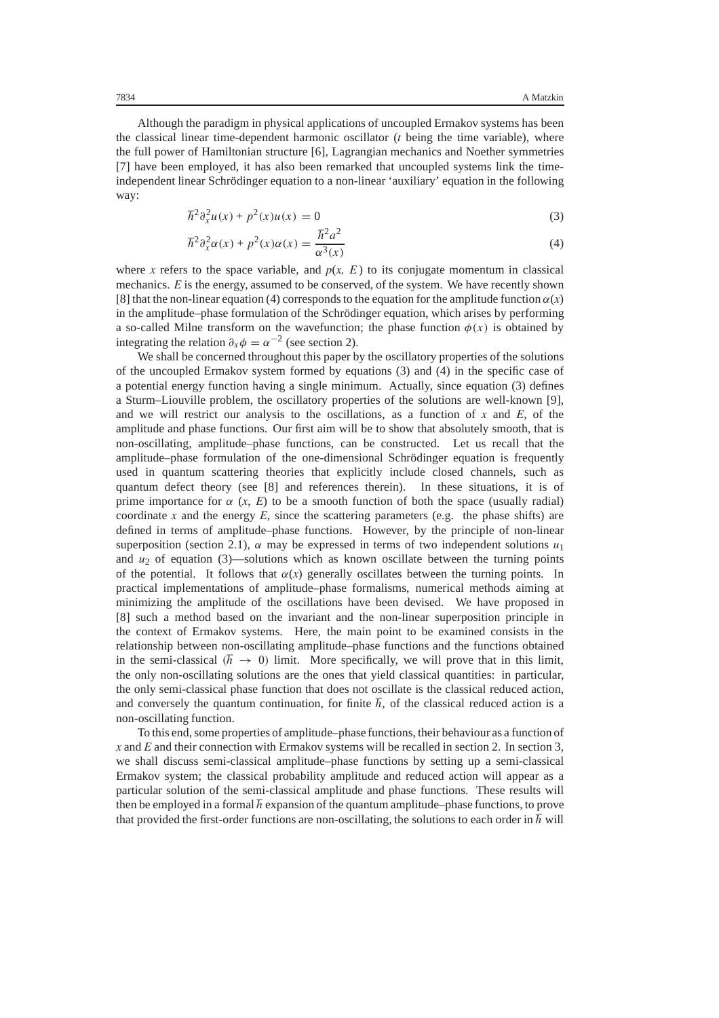Although the paradigm in physical applications of uncoupled Ermakov systems has been the classical linear time-dependent harmonic oscillator (*t* being the time variable), where the full power of Hamiltonian structure [6], Lagrangian mechanics and Noether symmetries [7] have been employed, it has also been remarked that uncoupled systems link the timeindependent linear Schrödinger equation to a non-linear 'auxiliary' equation in the following way:

$$
\hbar^2 \partial_x^2 u(x) + p^2(x) u(x) = 0
$$
\n(3)

$$
\hbar^2 \partial_x^2 \alpha(x) + p^2(x)\alpha(x) = \frac{\hbar^2 a^2}{\alpha^3(x)}
$$
\nwhere *x* refers to the space variable, and *p(x, E)* to its conjugate momentum in classical

mechanics. *E* is the energy, assumed to be conserved, of the system. We have recently shown [8] that the non-linear equation (4) corresponds to the equation for the amplitude function  $\alpha(x)$ in the amplitude–phase formulation of the Schrödinger equation, which arises by performing a so-called Milne transform on the wavefunction; the phase function  $\phi(x)$  is obtained by integrating the relation  $\partial_x \phi = \alpha^{-2}$  (see section 2).

We shall be concerned throughout this paper by the oscillatory properties of the solutions of the uncoupled Ermakov system formed by equations (3) and (4) in the specific case of a potential energy function having a single minimum. Actually, since equation (3) defines a Sturm–Liouville problem, the oscillatory properties of the solutions are well-known [9], and we will restrict our analysis to the oscillations, as a function of *x* and *E*, of the amplitude and phase functions. Our first aim will be to show that absolutely smooth, that is non-oscillating, amplitude–phase functions, can be constructed. Let us recall that the amplitude–phase formulation of the one-dimensional Schrödinger equation is frequently used in quantum scattering theories that explicitly include closed channels, such as quantum defect theory (see [8] and references therein). In these situations, it is of prime importance for  $\alpha$  (*x*, *E*) to be a smooth function of both the space (usually radial) coordinate *x* and the energy  $E$ , since the scattering parameters (e.g. the phase shifts) are defined in terms of amplitude–phase functions. However, by the principle of non-linear superposition (section 2.1),  $\alpha$  may be expressed in terms of two independent solutions  $u_1$ and  $u_2$  of equation (3)—solutions which as known oscillate between the turning points of the potential. It follows that  $\alpha(x)$  generally oscillates between the turning points. In practical implementations of amplitude–phase formalisms, numerical methods aiming at minimizing the amplitude of the oscillations have been devised. We have proposed in [8] such a method based on the invariant and the non-linear superposition principle in the context of Ermakov systems. Here, the main point to be examined consists in the relationship between non-oscillating amplitude–phase functions and the functions obtained in the semi-classical  $(h \rightarrow 0)$  limit. More specifically, we will prove that in this limit, the only non-oscillating solutions are the ones that yield classical quantities: in particular, the only semi-classical phase function that does not oscillate is the classical reduced action, and conversely the quantum continuation, for finite  $\hbar$ , of the classical reduced action is a non-oscillating function.

To this end, some properties of amplitude–phase functions, their behaviour as a function of *x* and *E* and their connection with Ermakov systems will be recalled in section 2. In section 3, we shall discuss semi-classical amplitude–phase functions by setting up a semi-classical Ermakov system; the classical probability amplitude and reduced action will appear as a particular solution of the semi-classical amplitude and phase functions. These results will then be employed in a formal  $\hbar$  expansion of the quantum amplitude–phase functions, to prove that provided the first-order functions are non-oscillating, the solutions to each order in  $\hbar$  will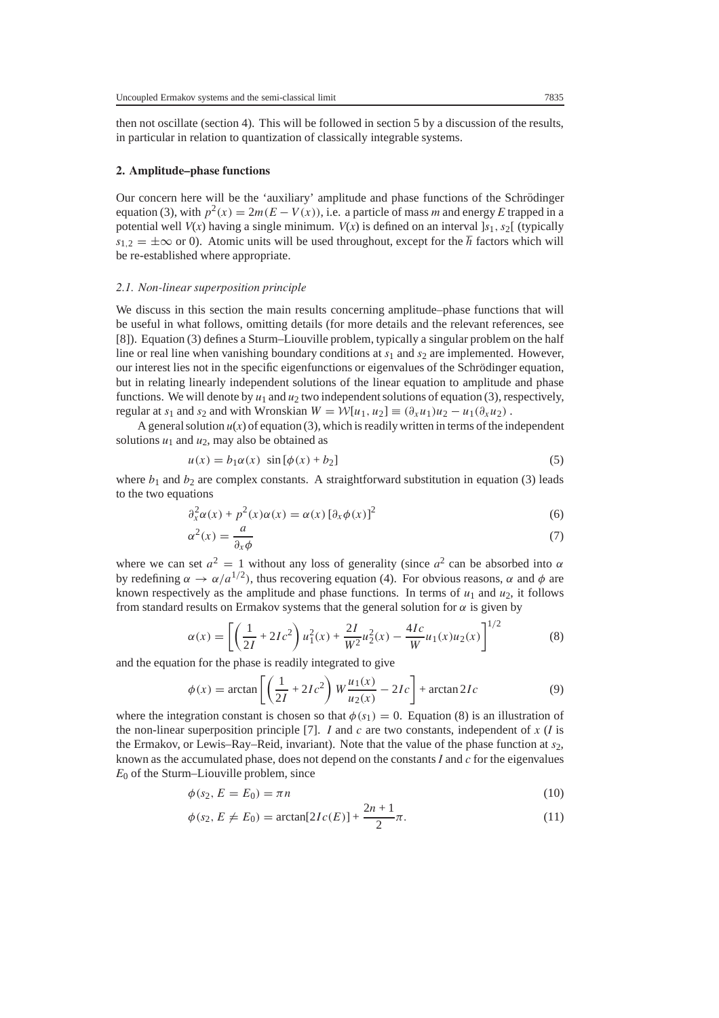then not oscillate (section 4). This will be followed in section 5 by a discussion of the results, in particular in relation to quantization of classically integrable systems.

## **2. Amplitude–phase functions**

Our concern here will be the 'auxiliary' amplitude and phase functions of the Schrödinger equation (3), with  $p^2(x) = 2m(E - V(x))$ , i.e. a particle of mass *m* and energy *E* trapped in a potential well  $V(x)$  having a single minimum.  $V(x)$  is defined on an interval  $s<sub>1</sub>$ ,  $s<sub>2</sub>$ [ (typically  $s_1$ <sub>2</sub> =  $\pm \infty$  or 0). Atomic units will be used throughout, except for the  $\hbar$  factors which will be re-established where appropriate.

#### *2.1. Non-linear superposition principle*

We discuss in this section the main results concerning amplitude–phase functions that will be useful in what follows, omitting details (for more details and the relevant references, see [8]). Equation (3) defines a Sturm–Liouville problem, typically a singular problem on the half line or real line when vanishing boundary conditions at  $s_1$  and  $s_2$  are implemented. However, our interest lies not in the specific eigenfunctions or eigenvalues of the Schrödinger equation, but in relating linearly independent solutions of the linear equation to amplitude and phase functions. We will denote by  $u_1$  and  $u_2$  two independent solutions of equation (3), respectively, regular at *s*<sub>1</sub> and *s*<sub>2</sub> and with Wronskian  $W = \mathcal{W}[u_1, u_2] \equiv (\partial_x u_1)u_2 - u_1(\partial_x u_2)$ .

A general solution  $u(x)$  of equation (3), which is readily written in terms of the independent solutions  $u_1$  and  $u_2$ , may also be obtained as

$$
u(x) = b_1 \alpha(x) \sin[\phi(x) + b_2]
$$
 (5)

where  $b_1$  and  $b_2$  are complex constants. A straightforward substitution in equation (3) leads to the two equations

$$
\partial_x^2 \alpha(x) + p^2(x)\alpha(x) = \alpha(x) [\partial_x \phi(x)]^2
$$
 (6)

$$
\alpha^2(x) = \frac{d}{\partial_x \phi} \tag{7}
$$

where we can set  $a^2 = 1$  without any loss of generality (since  $a^2$  can be absorbed into  $\alpha$ <br>by redefining  $\alpha \to \alpha/a^{1/2}$ ), thus recovering equation (4). For obvious reasons  $\alpha$  and  $\phi$  are by redefining *<sup>α</sup>* <sup>→</sup> *α/a*1*/*2*)*, thus recovering equation (4). For obvious reasons, *α* and *φ* are known respectively as the amplitude and phase functions. In terms of  $u_1$  and  $u_2$ , it follows from standard results on Ermakov systems that the general solution for  $\alpha$  is given by

$$
\alpha(x) = \left[ \left( \frac{1}{2I} + 2Ic^2 \right) u_1^2(x) + \frac{2I}{W^2} u_2^2(x) - \frac{4Ic}{W} u_1(x) u_2(x) \right]^{1/2}
$$
 (8)  
and the equation for the phase is readily integrated to give

$$
\phi(x) = \arctan\left[\left(\frac{1}{2I} + 2Ic^2\right)W\frac{u_1(x)}{u_2(x)} - 2Ic\right] + \arctan 2Ic\tag{9}
$$

where the integration constant is chosen so that  $\phi(s_1) = 0$ . Equation (8) is an illustration of the non-linear superposition principle [7] *I* and *c* are two constants independent of *x* (*I* is the non-linear superposition principle [7]. *I* and *c* are two constants, independent of *x* (*I* is the Ermakov, or Lewis–Ray–Reid, invariant). Note that the value of the phase function at *s*2, known as the accumulated phase, does not depend on the constants *I* and *c* for the eigenvalues  $E_0$  of the Sturm–Liouville problem, since

$$
\phi(s_2, E = E_0) = \pi n \tag{10}
$$

$$
\phi(s_2, E \neq E_0) = \arctan[2I_c(E)] + \frac{2n+1}{2}\pi.
$$
\n(11)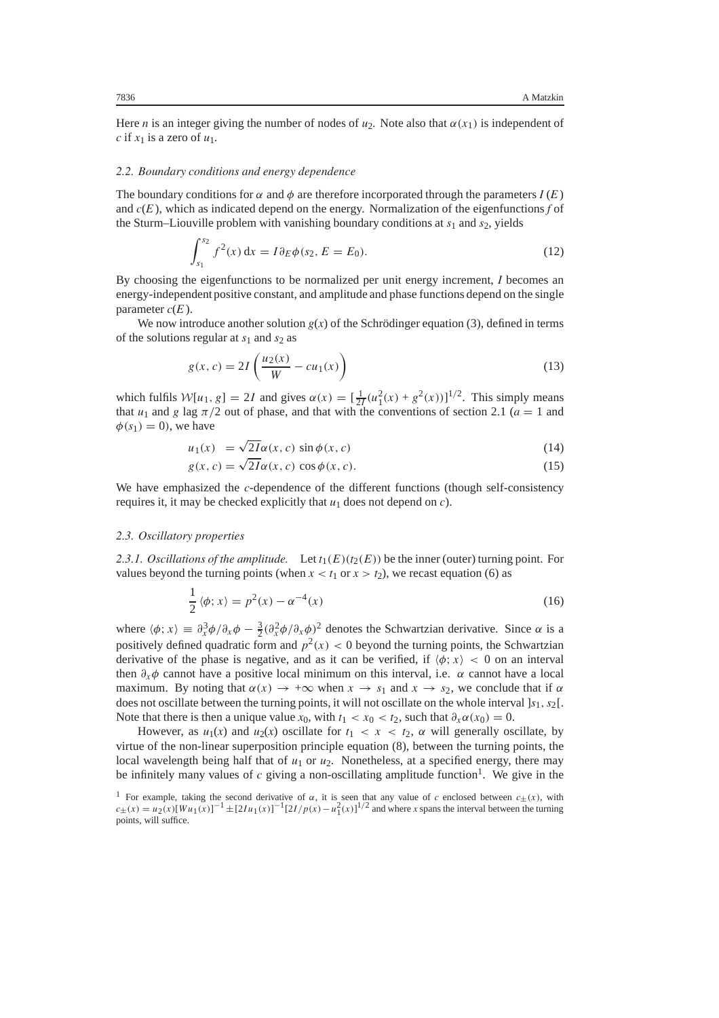Here *n* is an integer giving the number of nodes of  $u_2$ . Note also that  $\alpha(x_1)$  is independent of *c* if  $x_1$  is a zero of  $u_1$ .

## *2.2. Boundary conditions and energy dependence*

The boundary conditions for  $\alpha$  and  $\phi$  are therefore incorporated through the parameters  $I(E)$ and *c*(*E* ), which as indicated depend on the energy. Normalization of the eigenfunctions *f* of the Sturm–Liouville problem with vanishing boundary conditions at *s*<sup>1</sup> and *s*2, yields

$$
\int_{s_1}^{s_2} f^2(x) dx = I \partial_E \phi(s_2, E = E_0).
$$
 (12)

By choosing the eigenfunctions to be normalized per unit energy increment, *I* becomes an energy-independent positive constant, and amplitude and phase functions depend on the single parameter  $c(E)$ .

We now introduce another solution  $g(x)$  of the Schrödinger equation (3), defined in terms of the solutions regular at  $s_1$  and  $s_2$  as

$$
g(x, c) = 2I\left(\frac{u_2(x)}{W} - cu_1(x)\right)
$$
 (13)

which fulfils  $W[u_1, g] = 2I$  and gives  $\alpha(x) = \left[\frac{1}{2I}(u_1^2(x) + g^2(x))\right]^{1/2}$ . This simply means that  $u_1$  and  $g$  lag  $\pi/2$  out of phase, and that with the conventions of section 2.1 ( $a = 1$  and that  $u_1$  and *g* lag  $\pi/2$  out of phase, and that with the conventions of section 2.1 ( $a = 1$  and  $\phi(s_1) = 0$ , we have

$$
u_1(x) = \sqrt{2I}\alpha(x, c) \sin \phi(x, c)
$$
 (14)

$$
g(x, c) = \sqrt{2I}\alpha(x, c)\cos\phi(x, c).
$$
 (15)

We have emphasized the *c*-dependence of the different functions (though self-consistency requires it, it may be checked explicitly that *u*<sup>1</sup> does not depend on *c*).

## *2.3. Oscillatory properties*

2.3.1. Oscillations of the amplitude. Let  $t_1(E)(t_2(E))$  be the inner (outer) turning point. For values beyond the turning points (when  $x < t_1$  or  $x > t_2$ ), we recast equation (6) as

$$
\frac{1}{2} \langle \phi; x \rangle = p^2(x) - \alpha^{-4}(x) \tag{16}
$$

where  $\langle \phi; x \rangle = \partial_x^3 \phi / \partial_x \phi - \frac{3}{2} (\partial_x^2 \phi / \partial_x \phi)^2$  denotes the Schwartzian derivative. Since *α* is a positively defined quadratic form and  $n^2(x) \le 0$  beyond the turning points the Schwartzian positively defined quadratic form and  $p^2(x) < 0$  beyond the turning points, the Schwartzian derivative of the phase is negative, and as it can be verified, if  $\langle \phi; x \rangle < 0$  on an interval then *∂xφ* cannot have a positive local minimum on this interval, i.e. *α* cannot have a local maximum. By noting that  $\alpha(x) \to +\infty$  when  $x \to s_1$  and  $x \to s_2$ , we conclude that if  $\alpha$ does not oscillate between the turning points, it will not oscillate on the whole interval ]*s*1*, s*2[. Note that there is then a unique value  $x_0$ , with  $t_1 < x_0 < t_2$ , such that  $\partial_x \alpha(x_0) = 0$ .

However, as  $u_1(x)$  and  $u_2(x)$  oscillate for  $t_1 < x < t_2$ ,  $\alpha$  will generally oscillate, by virtue of the non-linear superposition principle equation (8), between the turning points, the local wavelength being half that of  $u_1$  or  $u_2$ . Nonetheless, at a specified energy, there may be infinitely many values of  $c$  giving a non-oscillating amplitude function<sup>1</sup>. We give in the

<sup>&</sup>lt;sup>1</sup> For example, taking the second derivative of  $\alpha$ , it is seen that any value of *c* enclosed between  $c_{\pm}(x)$ , with  $c_{\pm}(x) = u_2(x)[Wu_1(x)]^{-1} \pm [2Iu_1(x)]^{-1}[2I/p(x) - u_1^2(x)]^{1/2}$  and where *x* spans the interval between the turning noints, will suffice points, will suffice.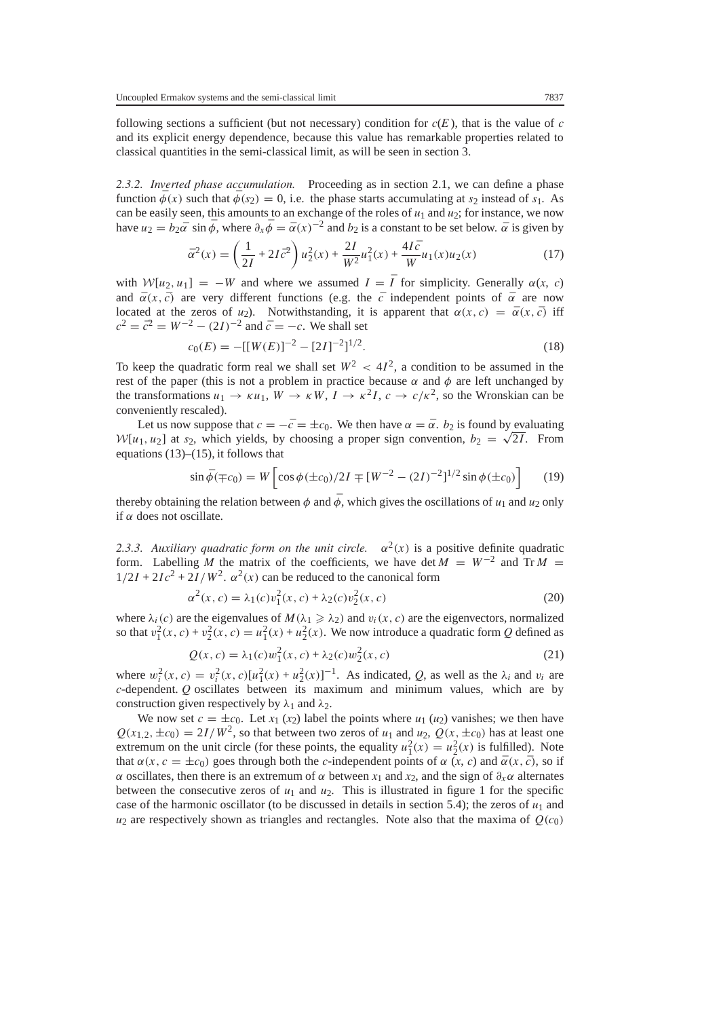following sections a sufficient (but not necessary) condition for  $c(E)$ , that is the value of  $c$ and its explicit energy dependence, because this value has remarkable properties related to classical quantities in the semi-classical limit, as will be seen in section 3.

*2.3.2. Inverted phase accumulation.* Proceeding as in section 2.1, we can define a phase function  $\bar{\phi}(x)$  such that  $\bar{\phi}(s_2) = 0$ , i.e. the phase starts accumulating at  $s_2$  instead of  $s_1$ . As can be easily seen, this amounts to an exchange of the roles of  $u_1$  and  $u_2$ ; for instance, we now have  $u_2 = b_2\bar{\alpha} \sin \bar{\phi}$ , where  $\partial_x \bar{\phi} = \bar{\alpha}(x)^{-2}$  and  $b_2$  is a constant to be set below.  $\bar{\alpha}$  is given by

$$
\bar{\alpha}^2(x) = \left(\frac{1}{2I} + 2I\bar{c}^2\right)u_2^2(x) + \frac{2I}{W^2}u_1^2(x) + \frac{4I\bar{c}}{W}u_1(x)u_2(x)
$$
\n(17)

with  $W[u_2, u_1] = -W$  and where we assumed  $I = \overline{I}$  for simplicity. Generally  $\alpha(x, c)$ <br>and  $\overline{\alpha}(x, \overline{c})$  are very different functions (e.g. the  $\overline{c}$  independent points of  $\overline{\alpha}$  are now and  $\bar{\alpha}(x, \bar{c})$  are very different functions (e.g. the  $\bar{c}$  independent points of  $\bar{\alpha}$  are now located at the zeros of *u*<sub>2</sub>). Notwithstanding, it is apparent that  $\alpha(x, c) = \overline{\alpha}(x, \overline{c})$  iff  $c^2 = \bar{c}^2 = W^{-2} - (2I)^{-2}$  and  $\bar{c} = -c$ . We shall set

$$
c_0(E) = -\left[\left[W(E)\right]^{-2} - \left[2I\right]^{-2}\right]^{1/2}.\tag{18}
$$

To keep the quadratic form real we shall set  $W^2 < 4I^2$ , a condition to be assumed in the rest of the paper (this is not a problem in practice because  $\alpha$  and  $\phi$  are left unchanged by rest of the paper (this is not a problem in practice because  $\alpha$  and  $\phi$  are left unchanged by the transformations  $u_1 \rightarrow \kappa u_1$ ,  $W \rightarrow \kappa W$ ,  $I \rightarrow \kappa^2 I$ ,  $c \rightarrow c/\kappa^2$ , so the Wronskian can be conveniently rescaled).

Let us now suppose that  $c = -\bar{c} = \pm c_0$ . We then have  $\alpha = \bar{\alpha}$ .  $b_2$  is found by evaluating *W*[*u*<sub>1</sub>*, u*<sub>2</sub>] at *s*<sub>2</sub>, which yields, by choosing a proper sign convention, *b*<sub>2</sub> = √2*I*. From equations (13)–(15) it follows that equations  $(13)$ – $(15)$ , it follows that

$$
\sin \bar{\phi}(\mp c_0) = W \left[ \cos \phi(\pm c_0) / 2I \mp [W^{-2} - (2I)^{-2}]^{1/2} \sin \phi(\pm c_0) \right]
$$
(19)

thereby obtaining the relation between  $\phi$  and  $\bar{\phi}$ , which gives the oscillations of  $u_1$  and  $u_2$  only if *α* does not oscillate.

*2.3.3. Auxiliary quadratic form on the unit circle.*  $\alpha^2(x)$  is a positive definite quadratic form. Labelling *M* the matrix of the coefficients, we have det  $M = W^{-2}$  and Tr  $M =$  $1/2I + 2Ic^2 + 2I/W^2$ .  $\alpha^2(x)$  can be reduced to the canonical form

$$
\alpha^{2}(x, c) = \lambda_{1}(c)v_{1}^{2}(x, c) + \lambda_{2}(c)v_{2}^{2}(x, c)
$$
\n(20)

where  $\lambda_i(c)$  are the eigenvalues of  $M(\lambda_1 \ge \lambda_2)$  and  $v_i(x, c)$  are the eigenvectors, normalized<br>so that  $v^2(x, c) + v^2(x, c) = u^2(x) + u^2(x)$ . We now introduce a quadratic form O defined as so that  $v_1^2(x, c) + v_2^2(x, c) = u_1^2(x) + u_2^2(x)$ . We now introduce a quadratic form *Q* defined as

$$
Q(x, c) = \lambda_1(c) w_1^2(x, c) + \lambda_2(c) w_2^2(x, c)
$$
\n(21)

where  $w_i^2(x, c) = v_i^2(x, c)[u_1^2(x) + u_2^2(x)]^{-1}$ . As indicated, *Q*, as well as the  $\lambda_i$  and  $v_i$  are *c*-dependent *Q* oscillates between its maximum and minimum values which are by *c*-dependent. *Q* oscillates between its maximum and minimum values, which are by construction given respectively by  $\lambda_1$  and  $\lambda_2$ .

We now set  $c = \pm c_0$ . Let  $x_1(x_2)$  label the points where  $u_1(u_2)$  vanishes; we then have  $Q(x_{1,2}, \pm c_0) = 2I/W^2$ , so that between two zeros of  $u_1$  and  $u_2$ ,  $Q(x, \pm c_0)$  has at least one extremum on the unit circle (for these points, the equality  $u_1^2(x) = u_2^2(x)$  is fulfilled). Note that  $α(x, c = ±c<sub>0</sub>)$  goes through both the *c*-independent points of  $α(x, c)$  and  $\overline{α}(x, \overline{c})$ , so if *α* oscillates, then there is an extremum of *α* between  $x_1$  and  $x_2$ , and the sign of  $\partial_x \alpha$  alternates between the consecutive zeros of  $u_1$  and  $u_2$ . This is illustrated in figure 1 for the specific case of the harmonic oscillator (to be discussed in details in section 5.4); the zeros of  $u_1$  and  $u_2$  are respectively shown as triangles and rectangles. Note also that the maxima of  $Q(c_0)$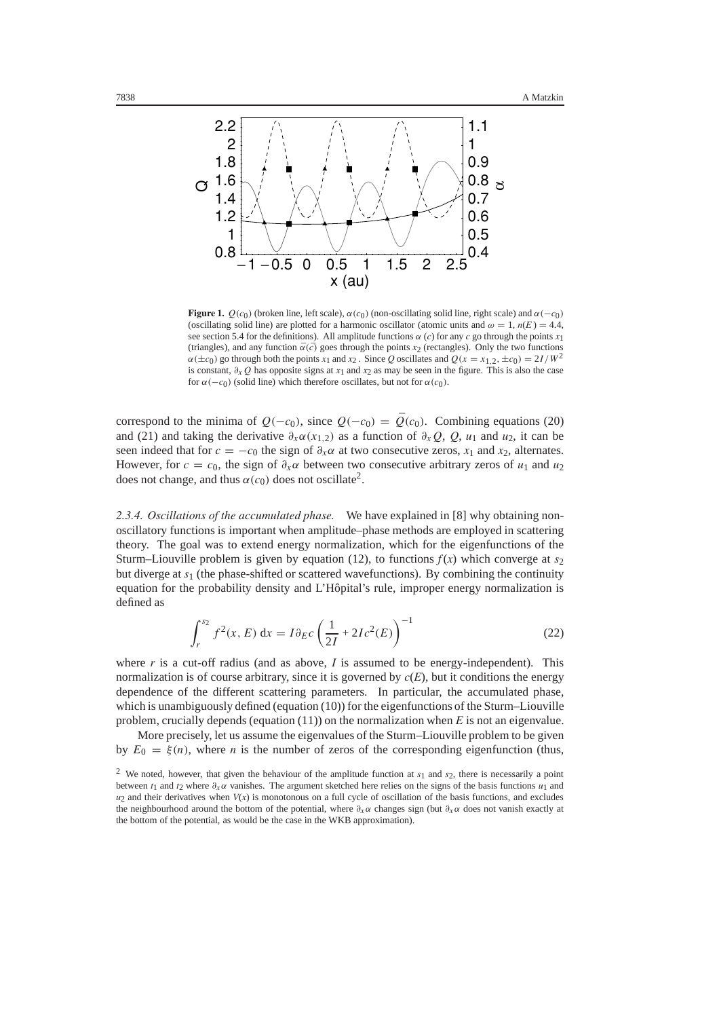

**Figure 1.**  $Q(c_0)$  (broken line, left scale),  $\alpha(c_0)$  (non-oscillating solid line, right scale) and  $\alpha(-c_0)$ (oscillating solid line) are plotted for a harmonic oscillator (atomic units and  $\omega = 1$ ,  $n(E) = 4.4$ , see section 5.4 for the definitions). All amplitude functions  $\alpha$  (*c*) for any *c* go through the points *x*<sub>1</sub> (triangles), and any function  $\bar{\alpha}(\bar{c})$  goes through the points *x*<sub>2</sub> (rectangles). Only the two functions  $\alpha(\pm c_0)$  go through both the points *x*<sub>1</sub> and *x*<sub>2</sub>. Since *Q* oscillates and  $Q(x = x_{1,2}, \pm c_0) = 2I/W^2$ is constant,  $\partial_x Q$  has opposite signs at *x*<sub>1</sub> and *x*<sub>2</sub> as may be seen in the figure. This is also the case for  $\alpha(-c_0)$  (solid line) which therefore oscillates, but not for  $\alpha(c_0)$ .

correspond to the minima of  $Q(-c_0)$ , since  $Q(-c_0) = \overline{Q}(c_0)$ . Combining equations (20) and (21) and taking the derivative  $\partial_x \alpha(x_{1,2})$  as a function of  $\partial_x Q$ ,  $Q$ ,  $u_1$  and  $u_2$ , it can be seen indeed that for  $c = -c_0$  the sign of  $\partial_x \alpha$  at two consecutive zeros,  $x_1$  and  $x_2$ , alternates. However, for  $c = c_0$ , the sign of  $\partial_x \alpha$  between two consecutive arbitrary zeros of  $u_1$  and  $u_2$ does not change, and thus  $\alpha(c_0)$  does not oscillate<sup>2</sup>.

*2.3.4. Oscillations of the accumulated phase.* We have explained in [8] why obtaining nonoscillatory functions is important when amplitude–phase methods are employed in scattering theory. The goal was to extend energy normalization, which for the eigenfunctions of the Sturm–Liouville problem is given by equation (12), to functions  $f(x)$  which converge at  $s<sub>2</sub>$ but diverge at *s*<sup>1</sup> (the phase-shifted or scattered wavefunctions). By combining the continuity equation for the probability density and L'Hôpital's rule, improper energy normalization is defined as

$$
\int_{r}^{s_2} f^2(x, E) dx = I \partial_E c \left( \frac{1}{2I} + 2I c^2(E) \right)^{-1}
$$
 (22)

where  $r$  is a cut-off radius (and as above,  $I$  is assumed to be energy-independent). This normalization is of course arbitrary, since it is governed by  $c(E)$ , but it conditions the energy dependence of the different scattering parameters. In particular, the accumulated phase, which is unambiguously defined (equation (10)) for the eigenfunctions of the Sturm–Liouville problem, crucially depends (equation (11)) on the normalization when *E* is not an eigenvalue.

More precisely, let us assume the eigenvalues of the Sturm–Liouville problem to be given by  $E_0 = \xi(n)$ , where *n* is the number of zeros of the corresponding eigenfunction (thus,

<sup>&</sup>lt;sup>2</sup> We noted, however, that given the behaviour of the amplitude function at  $s_1$  and  $s_2$ , there is necessarily a point between *<sup>t</sup>*<sup>1</sup> and *<sup>t</sup>*<sup>2</sup> where *∂xα* vanishes. The argument sketched here relies on the signs of the basis functions *<sup>u</sup>*<sup>1</sup> and  $u_2$  and their derivatives when  $V(x)$  is monotonous on a full cycle of oscillation of the basis functions, and excludes the neighbourhood around the bottom of the potential, where *∂xα* changes sign (but *∂xα* does not vanish exactly at the bottom of the potential, as would be the case in the WKB approximation).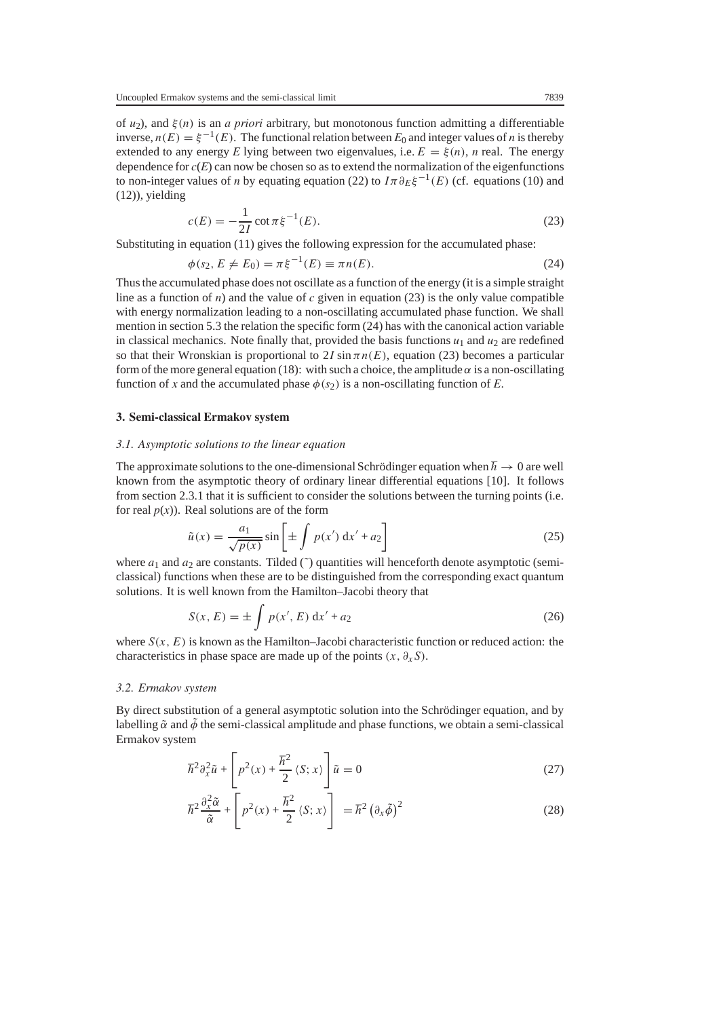of *<sup>u</sup>*2), and *ξ(n)* is an *a priori* arbitrary, but monotonous function admitting a differentiable inverse,  $n(E) = \xi^{-1}(E)$ . The functional relation between  $E_0$  and integer values of *n* is thereby extended to any energy *E* lying between two eigenvalues, i.e.  $E = \xi(n)$ , *n* real. The energy dependence for  $c(E)$  can now be chosen so as to extend the normalization of the eigenfunctions to non-integer values of *n* by equating equation (22) to  $I\pi \partial_E \xi^{-1}(E)$  (cf. equations (10) and (12)), yielding

$$
c(E) = -\frac{1}{2I} \cot \pi \xi^{-1}(E).
$$
 (23)

 $\frac{2I}{2I}$  Substituting in equation (11) gives the following expression for the accumulated phase:

$$
\phi(s_2, E \neq E_0) = \pi \xi^{-1}(E) \equiv \pi n(E). \tag{24}
$$

Thus the accumulated phase does not oscillate as a function of the energy (it is a simple straight line as a function of  $n$ ) and the value of  $c$  given in equation (23) is the only value compatible with energy normalization leading to a non-oscillating accumulated phase function. We shall mention in section 5.3 the relation the specific form (24) has with the canonical action variable in classical mechanics. Note finally that, provided the basis functions  $u_1$  and  $u_2$  are redefined so that their Wronskian is proportional to 2*I* sin  $\pi n(E)$ , equation (23) becomes a particular form of the more general equation (18): with such a choice, the amplitude  $\alpha$  is a non-oscillating function of *x* and the accumulated phase  $\phi(s_2)$  is a non-oscillating function of *E*.

# **3. Semi-classical Ermakov system**

#### *3.1. Asymptotic solutions to the linear equation*

The approximate solutions to the one-dimensional Schrödinger equation when  $\hbar \to 0$  are well known from the asymptotic theory of ordinary linear differential equations [10]. It follows from section 2.3.1 that it is sufficient to consider the solutions between the turning points (i.e. for real  $p(x)$ ). Real solutions are of the form

$$
\tilde{u}(x) = \frac{a_1}{\sqrt{p(x)}} \sin\left[\pm \int p(x') dx' + a_2\right]
$$
\n(25)

where  $a_1$  and  $a_2$  are constants. Tilded ( $\tilde{ }$ ) quantities will henceforth denote asymptotic (semiclassical) functions when these are to be distinguished from the corresponding exact quantum solutions. It is well known from the Hamilton–Jacobi theory that

$$
S(x, E) = \pm \int p(x', E) dx' + a_2
$$
 (26)

where  $S(x, E)$  is known as the Hamilton–Jacobi characteristic function or reduced action: the characteristics in phase space are made up of the points  $(x, \partial_x S)$ .

#### *3.2. Ermakov system*

By direct substitution of a general asymptotic solution into the Schrödinger equation, and by labelling  $\tilde{\alpha}$  and  $\tilde{\phi}$  the semi-classical amplitude and phase functions, we obtain a semi-classical Ermakov system

$$
\hbar^2 \partial_x^2 \tilde{u} + \left[ p^2(x) + \frac{\hbar^2}{2} \langle S; x \rangle \right] \tilde{u} = 0 \tag{27}
$$

$$
\hbar^2 \frac{\partial_x^2 \tilde{\alpha}}{\tilde{\alpha}} + \left[ p^2(x) + \frac{\hbar^2}{2} \langle S; x \rangle \right] = \hbar^2 \left( \partial_x \tilde{\phi} \right)^2 \tag{28}
$$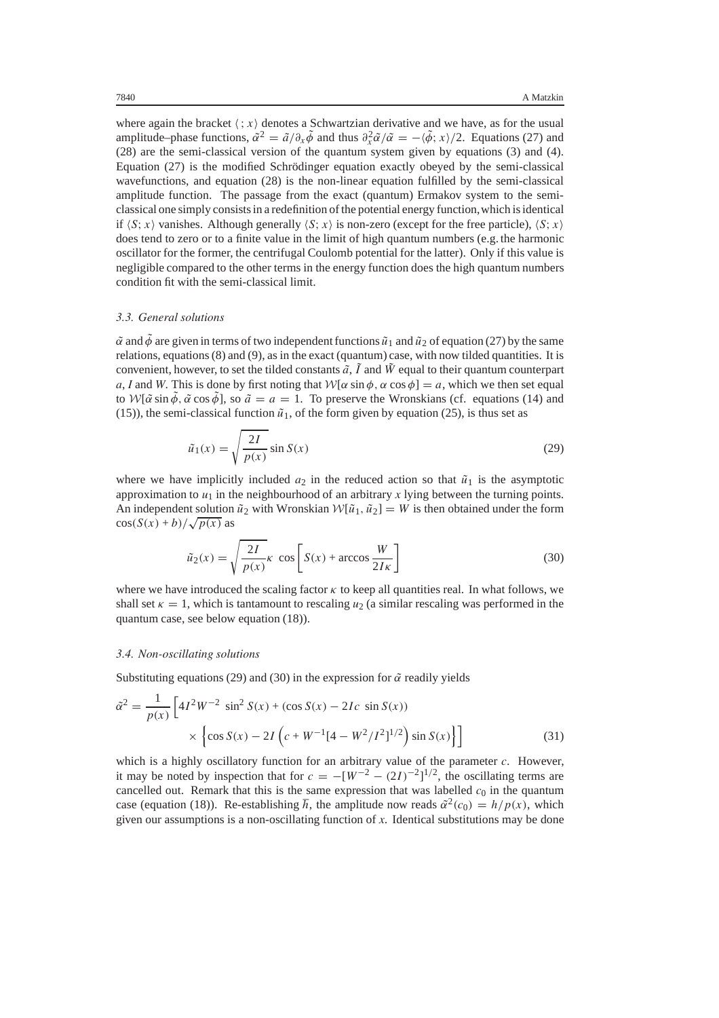where again the bracket  $\langle x \rangle$  denotes a Schwartzian derivative and we have, as for the usual amplitude–phase functions,  $\tilde{\alpha}^2 = \tilde{a}/\partial_x \tilde{\phi}$  and thus  $\partial_x^2 \tilde{\alpha}/\tilde{\alpha} = -\langle \tilde{\phi}; x \rangle/2$ . Equations (27) and (28) are the semi-classical version of the quantum system given by equations (3) and (4) (28) are the semi-classical version of the quantum system given by equations (3) and (4). Equation  $(27)$  is the modified Schrödinger equation exactly obeyed by the semi-classical wavefunctions, and equation (28) is the non-linear equation fulfilled by the semi-classical amplitude function. The passage from the exact (quantum) Ermakov system to the semiclassical one simply consists in a redefinition of the potential energy function,which is identical if  $\langle S; x \rangle$  vanishes. Although generally  $\langle S; x \rangle$  is non-zero (except for the free particle),  $\langle S; x \rangle$ does tend to zero or to a finite value in the limit of high quantum numbers (e.g. the harmonic oscillator for the former, the centrifugal Coulomb potential for the latter). Only if this value is negligible compared to the other terms in the energy function does the high quantum numbers condition fit with the semi-classical limit.

#### *3.3. General solutions*

 $\alpha$  and  $\bar{\phi}$  are given in terms of two independent functions  $\tilde{u}_1$  and  $\tilde{u}_2$  of equation (27) by the same relations, equations (8) and (9), as in the exact (quantum) case, with now tilded quantities. It is convenient, however, to set the tilded constants  $\tilde{a}$ ,  $\tilde{l}$  and  $\tilde{W}$  equal to their quantum counterpart  $a, l$  and  $W$ . This is done by first noting that  $W[\alpha \sin \phi, \alpha \cos \phi] = a$ , which we then set equal *a*, *I* and *W*. This is done by first noting that  $W[\alpha \sin \phi, \alpha \cos \phi] = a$ , which we then set equal to  $W[\tilde{\alpha} \sin \tilde{\phi}, \tilde{\alpha} \cos \tilde{\phi}]$ , so  $\tilde{a} = a = 1$ . To preserve the Wronskians (cf. equations (14) and (15)), the semi-classical function  $\tilde{u}_1$ , of the form given by equation (25), is thus set as

$$
\tilde{u}_1(x) = \sqrt{\frac{2I}{p(x)}} \sin S(x) \tag{29}
$$

where we have implicitly included  $a_2$  in the reduced action so that  $\tilde{u}_1$  is the asymptotic approximation to  $u_1$  in the neighbourhood of an arbitrary  $x$  lying between the turning points. An independent solution  $\tilde{u}_2$  with Wronskian  $W[\tilde{u}_1, \tilde{u}_2] = W$  is then obtained under the form  $\cos(S(x) + b)/\sqrt{p(x)}$  as

$$
\tilde{u}_2(x) = \sqrt{\frac{2I}{p(x)}} \kappa \cos \left[ S(x) + \arccos \frac{W}{2I\kappa} \right]
$$
\n(30)

where we have introduced the scaling factor  $\kappa$  to keep all quantities real. In what follows, we shall set  $\kappa = 1$ , which is tantamount to rescaling  $u_2$  (a similar rescaling was performed in the quantum case, see below equation (18)).

## *3.4. Non-oscillating solutions*

Substituting equations (29) and (30) in the expression for  $\tilde{\alpha}$  readily yields

$$
\tilde{\alpha}^2 = \frac{1}{p(x)} \left[ 4I^2 W^{-2} \sin^2 S(x) + (\cos S(x) - 2Ic \sin S(x)) \times \left\{ \cos S(x) - 2I \left( c + W^{-1} [4 - W^2 / I^2]^{1/2} \right) \sin S(x) \right\} \right]
$$
(31)

which is a highly oscillatory function for an arbitrary value of the parameter *c*. However, it may be noted by inspection that for  $c = -[W^{-2} - (2I)^{-2}]^{1/2}$ , the oscillating terms are cancelled out. Begans that this is the same expression that was labelled  $c_0$  in the quantum cancelled out. Remark that this is the same expression that was labelled  $c_0$  in the quantum case (equation (18)). Re-establishing  $\hbar$ , the amplitude now reads  $\tilde{\alpha}^2(c_0) = h/p(x)$ , which given our assumptions is a non-oscillating function of *x*. Identical substitutions may be done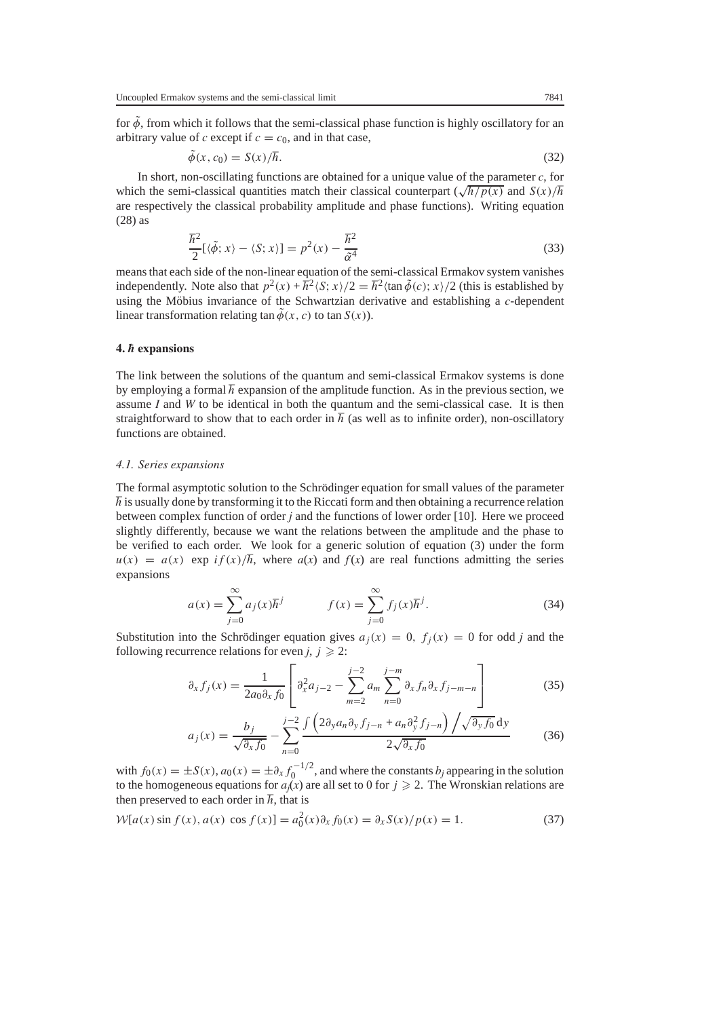for  $\tilde{\phi}$ , from which it follows that the semi-classical phase function is highly oscillatory for an arbitrary value of *c* except if  $c = c_0$ , and in that case,

$$
\tilde{\phi}(x, c_0) = S(x)/\hbar. \tag{32}
$$

In short, non-oscillating functions are obtained for a unique value of the parameter *c*, for which the semi-classical quantities match their classical counterpart  $(\sqrt{\frac{\hbar}{p(x)}}$  and  $S(x)/\hbar$ are respectively the classical probability amplitude and phase functions). Writing equation (28) as

$$
\frac{\hbar^2}{2} [ \langle \tilde{\phi}; x \rangle - \langle S; x \rangle ] = p^2(x) - \frac{\hbar^2}{\tilde{\alpha}^4}
$$
\nmeans that each side of the non-linear equation of the semi-classical Ermakov system vanishes

independently. Note also that  $p^2(x) + \frac{\hbar^2}{S(x)}$ ;  $\frac{x}{2} = \frac{\hbar^2}{\tan \phi(c)}$ ;  $\frac{x}{2}$  (this is established by using the Möbius invariance of the Schwartzian derivative and establishing a  $c$ -dependent linear transformation relating tan  $\tilde{\phi}(x, c)$  to tan  $S(x)$ ).

## **4. ¯***h* **expansions**

The link between the solutions of the quantum and semi-classical Ermakov systems is done by employing a formal  $\hbar$  expansion of the amplitude function. As in the previous section, we assume *I* and *W* to be identical in both the quantum and the semi-classical case. It is then straightforward to show that to each order in  $\hbar$  (as well as to infinite order), non-oscillatory functions are obtained.

#### *4.1. Series expansions*

The formal asymptotic solution to the Schrödinger equation for small values of the parameter  $\hbar$  is usually done by transforming it to the Riccati form and then obtaining a recurrence relation between complex function of order *j* and the functions of lower order [10]. Here we proceed slightly differently, because we want the relations between the amplitude and the phase to be verified to each order. We look for a generic solution of equation (3) under the form  $u(x) = a(x) \exp i f(x)/\hbar$ , where  $a(x)$  and  $f(x)$  are real functions admitting the series expansions

$$
a(x) = \sum_{j=0}^{\infty} a_j(x) \hbar^j \qquad f(x) = \sum_{j=0}^{\infty} f_j(x) \hbar^j.
$$
 (34)

Substitution into the Schrödinger equation gives  $a_i(x) = 0$ ,  $f_i(x) = 0$  for odd *j* and the following recurrence relations for even  $j, j \geq 2$ :

$$
\partial_x f_j(x) = \frac{1}{2a_0 \partial_x f_0} \left[ \partial_x^2 a_{j-2} - \sum_{m=2}^{j-2} a_m \sum_{n=0}^{j-m} \partial_x f_n \partial_x f_{j-m-n} \right]
$$
(35)

$$
a_j(x) = \frac{b_j}{\sqrt{\partial_x f_0}} - \sum_{n=0}^{j-2} \frac{\int \left(2\partial_y a_n \partial_y f_{j-n} + a_n \partial_y^2 f_{j-n}\right) \left(\sqrt{\partial_y f_0} \, dy\right)}{2\sqrt{\partial_x f_0}}
$$
(36)

with  $f_0(x) = \pm S(x)$ ,  $a_0(x) = \pm \partial_x f_0^{-1/2}$ , and where the constants *b<sub>j</sub>* appearing in the solution to the homogeneous equations for  $a(x)$  are all set to 0 for  $i > 2$ . The Wronskian relations are to the homogeneous equations for  $a_j(x)$  are all set to 0 for  $j \ge 2$ . The Wronskian relations are then preserved to each order in  $\hbar$ , that is

$$
W[a(x)\sin f(x), a(x)\cos f(x)] = a_0^2(x)\partial_x f_0(x) = \partial_x S(x)/p(x) = 1.
$$
 (37)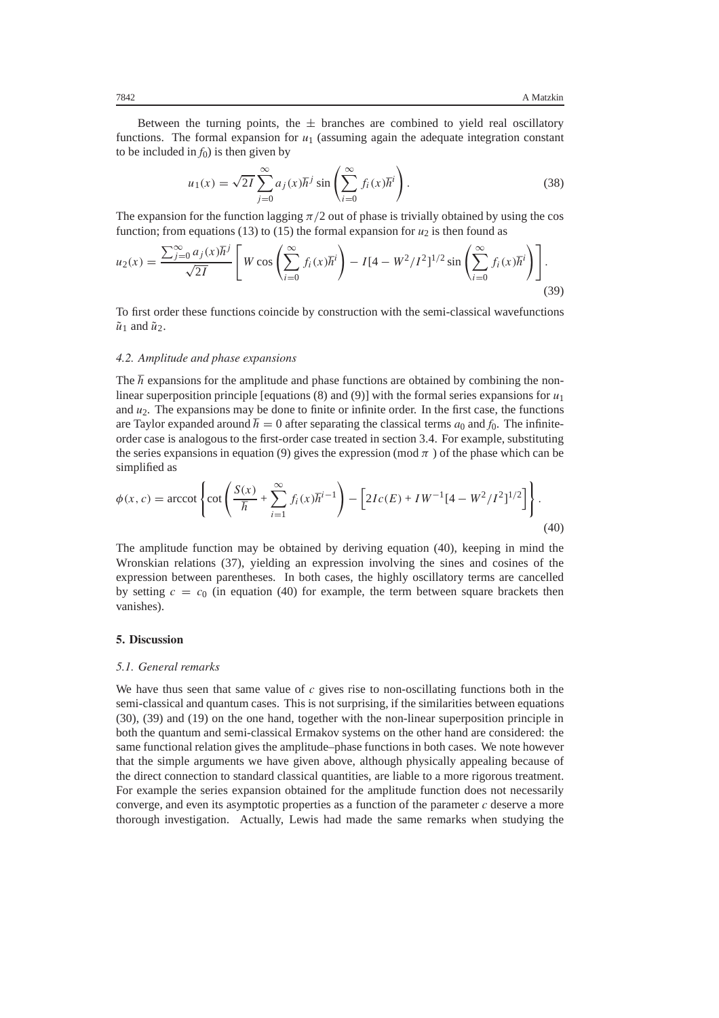Between the turning points, the  $\pm$  branches are combined to yield real oscillatory functions. The formal expansion for  $u_1$  (assuming again the adequate integration constant to be included in  $f_0$ ) is then given by

$$
u_1(x) = \sqrt{2I} \sum_{j=0}^{\infty} a_j(x) \hbar^j \sin\left(\sum_{i=0}^{\infty} f_i(x) \hbar^i\right).
$$
 (38)

The expansion for the function lagging  $\pi/2$  out of phase is trivially obtained by using the cos function; from equations (13) to (15) the formal expansion for  $u_2$  is then found as

$$
u_2(x) = \frac{\sum_{j=0}^{\infty} a_j(x) \hbar^j}{\sqrt{2I}} \left[ W \cos \left( \sum_{i=0}^{\infty} f_i(x) \hbar^i \right) - I[4 - W^2/I^2]^{1/2} \sin \left( \sum_{i=0}^{\infty} f_i(x) \hbar^i \right) \right].
$$
\n(39)

To first order these functions coincide by construction with the semi-classical wavefunctions  $\tilde{u}_1$  and  $\tilde{u}_2$ .

#### *4.2. Amplitude and phase expansions*

The  $\hbar$  expansions for the amplitude and phase functions are obtained by combining the nonlinear superposition principle [equations  $(8)$  and  $(9)$ ] with the formal series expansions for  $u_1$ and  $u_2$ . The expansions may be done to finite or infinite order. In the first case, the functions are Taylor expanded around  $\hbar = 0$  after separating the classical terms  $a_0$  and  $f_0$ . The infiniteorder case is analogous to the first-order case treated in section 3.4. For example, substituting the series expansions in equation (9) gives the expression (mod  $\pi$ ) of the phase which can be simplified as

$$
\phi(x, c) = \operatorname{arccot} \left\{ \cot \left( \frac{S(x)}{\hbar} + \sum_{i=1}^{\infty} f_i(x) \hbar^{i-1} \right) - \left[ 2Ic(E) + IW^{-1}[4 - W^2/I^2]^{1/2} \right] \right\}.
$$
\n(40)

The amplitude function may be obtained by deriving equation (40), keeping in mind the Wronskian relations (37), yielding an expression involving the sines and cosines of the expression between parentheses. In both cases, the highly oscillatory terms are cancelled by setting  $c = c_0$  (in equation (40) for example, the term between square brackets then vanishes).

#### **5. Discussion**

#### *5.1. General remarks*

We have thus seen that same value of *c* gives rise to non-oscillating functions both in the semi-classical and quantum cases. This is not surprising, if the similarities between equations (30), (39) and (19) on the one hand, together with the non-linear superposition principle in both the quantum and semi-classical Ermakov systems on the other hand are considered: the same functional relation gives the amplitude–phase functions in both cases. We note however that the simple arguments we have given above, although physically appealing because of the direct connection to standard classical quantities, are liable to a more rigorous treatment. For example the series expansion obtained for the amplitude function does not necessarily converge, and even its asymptotic properties as a function of the parameter *c* deserve a more thorough investigation. Actually, Lewis had made the same remarks when studying the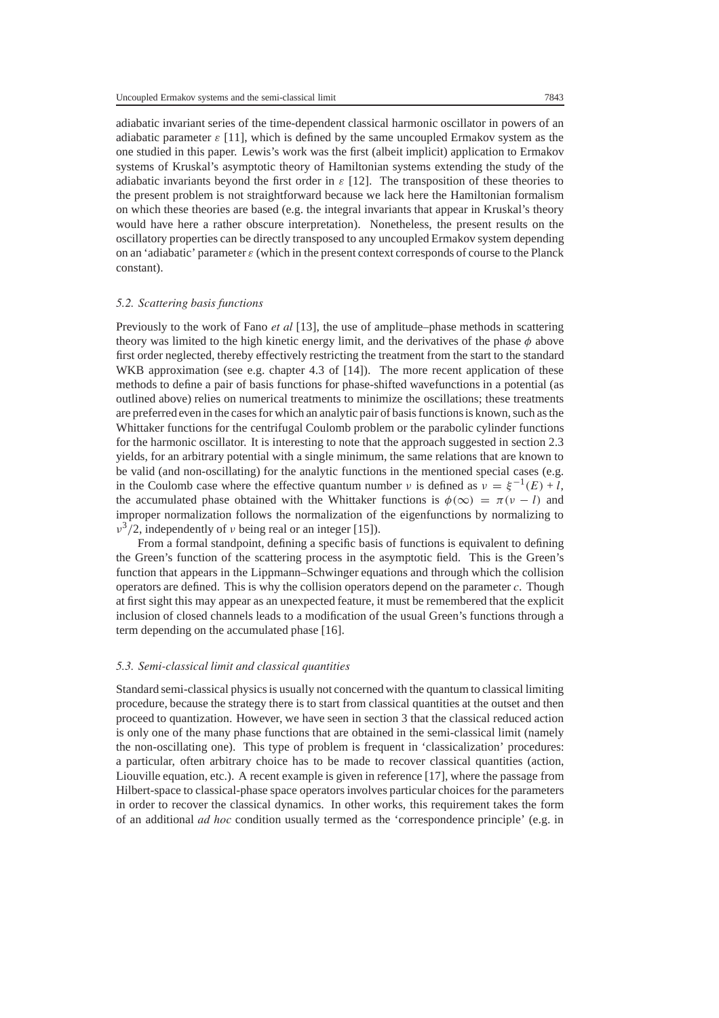adiabatic invariant series of the time-dependent classical harmonic oscillator in powers of an adiabatic parameter  $\varepsilon$  [11], which is defined by the same uncoupled Ermakov system as the one studied in this paper. Lewis's work was the first (albeit implicit) application to Ermakov systems of Kruskal's asymptotic theory of Hamiltonian systems extending the study of the adiabatic invariants beyond the first order in  $\varepsilon$  [12]. The transposition of these theories to the present problem is not straightforward because we lack here the Hamiltonian formalism on which these theories are based (e.g. the integral invariants that appear in Kruskal's theory would have here a rather obscure interpretation). Nonetheless, the present results on the oscillatory properties can be directly transposed to any uncoupled Ermakov system depending on an 'adiabatic' parameter  $\varepsilon$  (which in the present context corresponds of course to the Planck constant).

## *5.2. Scattering basis functions*

Previously to the work of Fano *et al* [13], the use of amplitude–phase methods in scattering theory was limited to the high kinetic energy limit, and the derivatives of the phase *φ* above first order neglected, thereby effectively restricting the treatment from the start to the standard WKB approximation (see e.g. chapter 4.3 of [14]). The more recent application of these methods to define a pair of basis functions for phase-shifted wavefunctions in a potential (as outlined above) relies on numerical treatments to minimize the oscillations; these treatments are preferred even in the cases for which an analytic pair of basis functions is known, such as the Whittaker functions for the centrifugal Coulomb problem or the parabolic cylinder functions for the harmonic oscillator. It is interesting to note that the approach suggested in section 2.3 yields, for an arbitrary potential with a single minimum, the same relations that are known to be valid (and non-oscillating) for the analytic functions in the mentioned special cases (e.g. in the Coulomb case where the effective quantum number *ν* is defined as  $v = \xi^{-1}(E) + l$ , the accumulated phase obtained with the Whittaker functions is  $\phi(\infty) = \pi(\nu - l)$  and improper normalization follows the normalization of the eigenfunctions by normalizing to *ν*3*/*2, independently of *ν* being real or an integer [15]).

From a formal standpoint, defining a specific basis of functions is equivalent to defining the Green's function of the scattering process in the asymptotic field. This is the Green's function that appears in the Lippmann–Schwinger equations and through which the collision operators are defined. This is why the collision operators depend on the parameter *c*. Though at first sight this may appear as an unexpected feature, it must be remembered that the explicit inclusion of closed channels leads to a modification of the usual Green's functions through a term depending on the accumulated phase [16].

#### *5.3. Semi-classical limit and classical quantities*

Standard semi-classical physics is usually not concerned with the quantum to classical limiting procedure, because the strategy there is to start from classical quantities at the outset and then proceed to quantization. However, we have seen in section 3 that the classical reduced action is only one of the many phase functions that are obtained in the semi-classical limit (namely the non-oscillating one). This type of problem is frequent in 'classicalization' procedures: a particular, often arbitrary choice has to be made to recover classical quantities (action, Liouville equation, etc.). A recent example is given in reference [17], where the passage from Hilbert-space to classical-phase space operators involves particular choices for the parameters in order to recover the classical dynamics. In other works, this requirement takes the form of an additional *ad hoc* condition usually termed as the 'correspondence principle' (e.g. in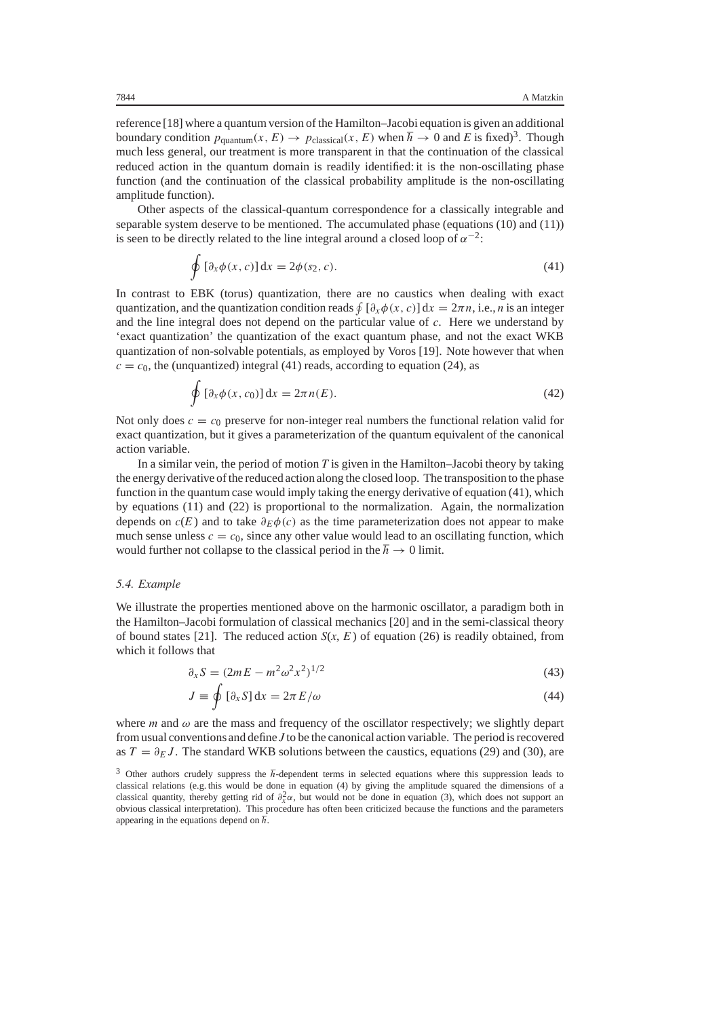reference [18] where a quantum version of the Hamilton–Jacobi equation is given an additional boundary condition  $p_{\text{quantum}}(x, E) \rightarrow p_{\text{classical}}(x, E)$  when  $\hbar \rightarrow 0$  and E is fixed)<sup>3</sup>. Though much less general, our treatment is more transparent in that the continuation of the classical reduced action in the quantum domain is readily identified: it is the non-oscillating phase function (and the continuation of the classical probability amplitude is the non-oscillating amplitude function).

Other aspects of the classical-quantum correspondence for a classically integrable and separable system deserve to be mentioned. The accumulated phase (equations (10) and (11)) is seen to be directly related to the line integral around a closed loop of  $\alpha^{-2}$ :

$$
\oint \left[\partial_x \phi(x, c)\right] dx = 2\phi(s_2, c). \tag{41}
$$

In contrast to EBK (torus) quantization, there are no caustics when dealing with exact quantization, and the quantization condition reads  $\oint [\partial_x \phi(x, c)] dx = 2\pi n$ , i.e., *n* is an integer and the line integral does not depend on the particular value of *c*. Here we understand by 'exact quantization' the quantization of the exact quantum phase, and not the exact WKB quantization of non-solvable potentials, as employed by Voros [19]. Note however that when  $c = c<sub>0</sub>$ , the (unquantized) integral (41) reads, according to equation (24), as

$$
\oint \left[\partial_x \phi(x, c_0)\right] dx = 2\pi n(E). \tag{42}
$$

Not only does  $c = c_0$  preserve for non-integer real numbers the functional relation valid for exact quantization, but it gives a parameterization of the quantum equivalent of the canonical action variable.

In a similar vein, the period of motion *T* is given in the Hamilton–Jacobi theory by taking the energy derivative of the reduced action along the closed loop. The transposition to the phase function in the quantum case would imply taking the energy derivative of equation (41), which by equations (11) and (22) is proportional to the normalization. Again, the normalization depends on  $c(E)$  and to take  $\partial_E \phi(c)$  as the time parameterization does not appear to make much sense unless  $c = c_0$ , since any other value would lead to an oscillating function, which would further not collapse to the classical period in the  $\hbar \to 0$  limit.

#### *5.4. Example*

We illustrate the properties mentioned above on the harmonic oscillator, a paradigm both in the Hamilton–Jacobi formulation of classical mechanics [20] and in the semi-classical theory of bound states [21]. The reduced action  $S(x, E)$  of equation (26) is readily obtained, from which it follows that

$$
\partial_x S = (2mE - m^2 \omega^2 x^2)^{1/2}
$$
 (43)

$$
J \equiv \oint \left[ \partial_x S \right] dx = 2\pi E/\omega \tag{44}
$$

where *m* and  $\omega$  are the mass and frequency of the oscillator respectively; we slightly depart from usual conventions and define *J* to be the canonical action variable. The period is recovered as  $T = \partial_E J$ . The standard WKB solutions between the caustics, equations (29) and (30), are

<sup>&</sup>lt;sup>3</sup> Other authors crudely suppress the  $\hbar$ -dependent terms in selected equations where this suppression leads to classical relations (e.g. this would be done in equation (4) by giving the amplitude squared the dimensions of a classical quantity, thereby getting rid of  $\partial_x^2 \alpha$ , but would not be done in equation (3), which does not support an obvious classical interpretation). This procedure has often been criticized because the functions and obvious classical interpretation). This procedure has often been criticized because the functions and the parameters appearing in the equations depend on  $\hbar$ .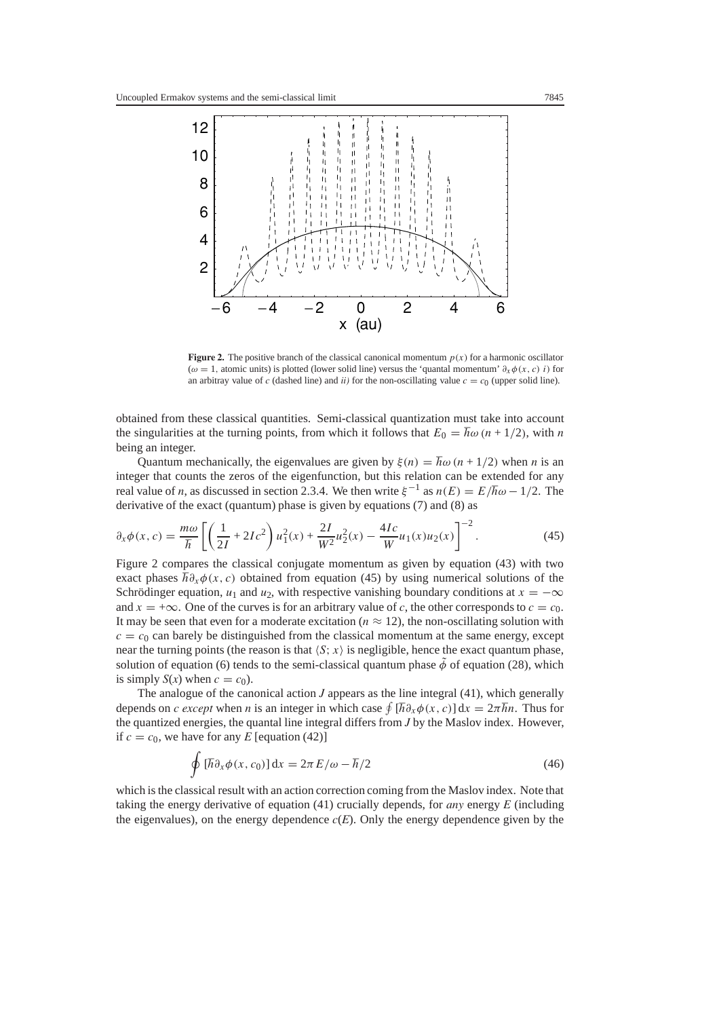

**Figure 2.** The positive branch of the classical canonical momentum  $p(x)$  for a harmonic oscillator ( $\omega = 1$ , atomic units) is plotted (lower solid line) versus the 'quantal momentum'  $\partial_x \phi(x, c)$  *i*) for an arbitray value of *c* (dashed line) and *ii*) for the non-oscillating value  $c = c<sub>0</sub>$  (upper solid line).

obtained from these classical quantities. Semi-classical quantization must take into account the singularities at the turning points, from which it follows that  $E_0 = \hbar \omega (n + 1/2)$ , with *n* being an integer.

Quantum mechanically, the eigenvalues are given by  $\xi(n) = \hbar \omega(n + 1/2)$  when *n* is an integer that counts the zeros of the eigenfunction, but this relation can be extended for any real value of *n*, as discussed in section 2.3.4. We then write  $\xi^{-1}$  as  $n(E) = E/\hbar \omega - 1/2$ . The derivative of the exact (quantum) phase is given by equations (7) and (8) as

$$
\partial_x \phi(x, c) = \frac{m\omega}{\hbar} \left[ \left( \frac{1}{2I} + 2Ic^2 \right) u_1^2(x) + \frac{2I}{W^2} u_2^2(x) - \frac{4Ic}{W} u_1(x) u_2(x) \right]^{-2}.
$$
 (45)  
Figure 2 compares the classical conjugate momentum as given by equation (43) with two

exact phases  $\hbar \partial_x \phi(x, c)$  obtained from equation (45) by using numerical solutions of the Schrödinger equation,  $u_1$  and  $u_2$ , with respective vanishing boundary conditions at  $x = -\infty$ and  $x = +\infty$ . One of the curves is for an arbitrary value of *c*, the other corresponds to  $c = c_0$ . It may be seen that even for a moderate excitation ( $n \approx 12$ ), the non-oscillating solution with  $c = c<sub>0</sub>$  can barely be distinguished from the classical momentum at the same energy, except near the turning points (the reason is that  $\langle S; x \rangle$  is negligible, hence the exact quantum phase, solution of equation (6) tends to the semi-classical quantum phase  $\tilde{\phi}$  of equation (28), which is simply  $S(x)$  when  $c = c_0$ ).

The analogue of the canonical action *J* appears as the line integral (41), which generally depends on *c except* when *n* is an integer in which case  $\oint [\hbar \partial_x \phi(x, c)] dx = 2\pi \hbar n$ . Thus for the quantized energies the quantal line integral differs from *I* by the Maslov index. However the quantized energies, the quantal line integral differs from *J* by the Maslov index. However, if  $c = c_0$ , we have for any *E* [equation (42)]

$$
\oint \left[\hbar \partial_x \phi(x, c_0)\right] dx = 2\pi E/\omega - \hbar/2 \tag{46}
$$

which is the classical result with an action correction coming from the Maslov index. Note that taking the energy derivative of equation (41) crucially depends, for *any* energy *E* (including the eigenvalues), on the energy dependence  $c(E)$ . Only the energy dependence given by the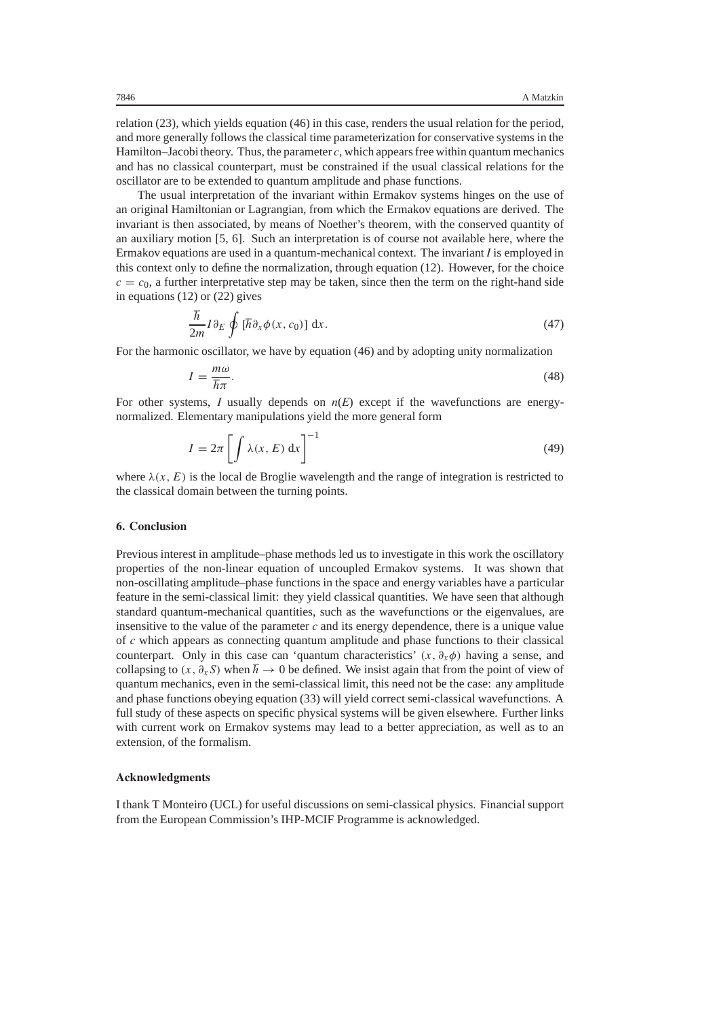relation (23), which yields equation (46) in this case, renders the usual relation for the period, and more generally follows the classical time parameterization for conservative systems in the Hamilton–Jacobi theory. Thus, the parameter  $c$ , which appears free within quantum mechanics and has no classical counterpart, must be constrained if the usual classical relations for the oscillator are to be extended to quantum amplitude and phase functions.

The usual interpretation of the invariant within Ermakov systems hinges on the use of an original Hamiltonian or Lagrangian, from which the Ermakov equations are derived. The invariant is then associated, by means of Noether's theorem, with the conserved quantity of an auxiliary motion [5, 6]. Such an interpretation is of course not available here, where the Ermakov equations are used in a quantum-mechanical context. The invariant *I* is employed in this context only to define the normalization, through equation (12). However, for the choice  $c = c<sub>0</sub>$ , a further interpretative step may be taken, since then the term on the right-hand side in equations (12) or (22) gives

$$
\frac{\hbar}{2m} I \partial_E \oint [\hbar \partial_x \phi(x, c_0)] dx.
$$
\nFor the harmonic oscillator, we have by equation (46) and by adopting unity normalization.

$$
I = \frac{m\omega}{\hbar\pi}.
$$
 (48)  
For other systems, I usually depends on  $n(E)$  except if the wavefunctions are energy-

normalized. Elementary manipulations yield the more general form

$$
I = 2\pi \left[ \int \lambda(x, E) dx \right]^{-1}
$$
 (49)

where  $\lambda(x, E)$  is the local de Broglie wavelength and the range of integration is restricted to the classical domain between the turning points.

# **6. Conclusion**

Previous interest in amplitude–phase methods led us to investigate in this work the oscillatory properties of the non-linear equation of uncoupled Ermakov systems. It was shown that non-oscillating amplitude–phase functions in the space and energy variables have a particular feature in the semi-classical limit: they yield classical quantities. We have seen that although standard quantum-mechanical quantities, such as the wavefunctions or the eigenvalues, are insensitive to the value of the parameter *c* and its energy dependence, there is a unique value of *c* which appears as connecting quantum amplitude and phase functions to their classical counterpart. Only in this case can 'quantum characteristics'  $(x, \partial_x \phi)$  having a sense, and collapsing to  $(x, \partial_x S)$  when  $\hbar \to 0$  be defined. We insist again that from the point of view of quantum mechanics, even in the semi-classical limit, this need not be the case: any amplitude and phase functions obeying equation (33) will yield correct semi-classical wavefunctions. A full study of these aspects on specific physical systems will be given elsewhere. Further links with current work on Ermakov systems may lead to a better appreciation, as well as to an extension, of the formalism.

#### **Acknowledgments**

I thank T Monteiro (UCL) for useful discussions on semi-classical physics. Financial support from the European Commission's IHP-MCIF Programme is acknowledged.